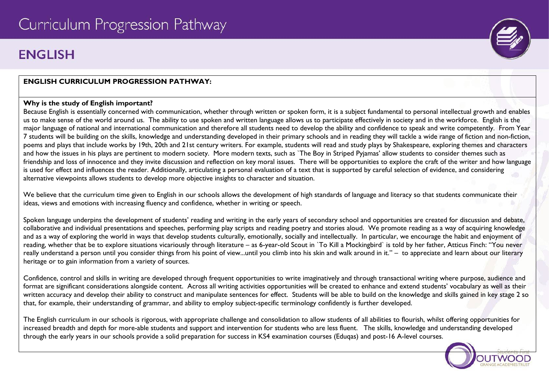# **FNGLISH**

# **ENGLISH CURRICULUM PROGRESSION PATHWAY:**

#### **Why is the study of English important?**

Because English is essentially concerned with communication, whether through written or spoken form, it is a subject fundamental to personal intellectual growth and enables us to make sense of the world around us. The ability to use spoken and written language allows us to participate effectively in society and in the workforce. English is the major language of national and international communication and therefore all students need to develop the ability and confidence to speak and write competently. From Year 7 students will be building on the skills, knowledge and understanding developed in their primary schools and in reading they will tackle a wide range of fiction and non-fiction, poems and plays that include works by 19th, 20th and 21st century writers. For example, students will read and study plays by Shakespeare, exploring themes and characters and how the issues in his plays are pertinent to modern society. More modern texts, such as `The Boy in Striped Pyjamas' allow students to consider themes such as friendship and loss of innocence and they invite discussion and reflection on key moral issues. There will be opportunities to explore the craft of the writer and how language is used for effect and influences the reader. Additionally, articulating a personal evaluation of a text that is supported by careful selection of evidence, and considering alternative viewpoints allows students to develop more objective insights to character and situation.

We believe that the curriculum time given to English in our schools allows the development of high standards of language and literacy so that students communicate their ideas, views and emotions with increasing fluency and confidence, whether in writing or speech.

Spoken language underpins the development of students' reading and writing in the early years of secondary school and opportunities are created for discussion and debate, collaborative and individual presentations and speeches, performing play scripts and reading poetry and stories aloud. We promote reading as a way of acquiring knowledge and as a way of exploring the world in ways that develop students culturally, emotionally, socially and intellectually. In particular, we encourage the habit and enjoyment of reading, whether that be to explore situations vicariously through literature – as 6-year-old Scout in `To Kill a Mockingbird` is told by her father, Atticus Finch: "You never really understand a person until you consider things from his point of view...until you climb into his skin and walk around in it." – to appreciate and learn about our literary heritage or to gain information from a variety of sources.

Confidence, control and skills in writing are developed through frequent opportunities to write imaginatively and through transactional writing where purpose, audience and format are significant considerations alongside content. Across all writing activities opportunities will be created to enhance and extend students' vocabulary as well as their written accuracy and develop their ability to construct and manipulate sentences for effect. Students will be able to build on the knowledge and skills gained in key stage 2 so that, for example, their understanding of grammar, and ability to employ subject-specific terminology confidently is further developed.

The English curriculum in our schools is rigorous, with appropriate challenge and consolidation to allow students of all abilities to flourish, whilst offering opportunities for increased breadth and depth for more-able students and support and intervention for students who are less fluent. The skills, knowledge and understanding developed through the early years in our schools provide a solid preparation for success in KS4 examination courses (Eduqas) and post-16 A-level courses.



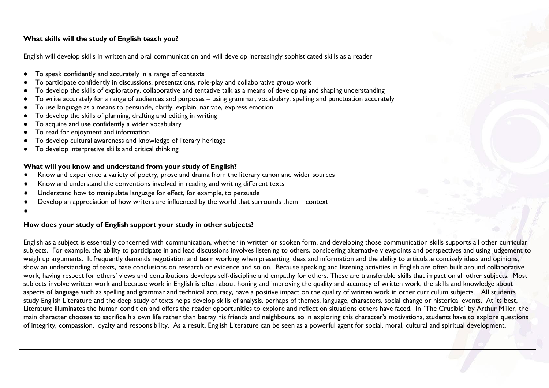#### **What skills will the study of English teach you?**

English will develop skills in written and oral communication and will develop increasingly sophisticated skills as a reader

- To speak confidently and accurately in a range of contexts
- To participate confidently in discussions, presentations, role-play and collaborative group work
- To develop the skills of exploratory, collaborative and tentative talk as a means of developing and shaping understanding
- To write accurately for a range of audiences and purposes using grammar, vocabulary, spelling and punctuation accurately
- To use language as a means to persuade, clarify, explain, narrate, express emotion
- To develop the skills of planning, drafting and editing in writing
- To acquire and use confidently a wider vocabulary
- To read for enjoyment and information
- To develop cultural awareness and knowledge of literary heritage
- To develop interpretive skills and critical thinking

#### **What will you know and understand from your study of English?**

- Know and experience a variety of poetry, prose and drama from the literary canon and wider sources
- Know and understand the conventions involved in reading and writing different texts
- Understand how to manipulate language for effect, for example, to persuade
- Develop an appreciation of how writers are influenced by the world that surrounds them context
- ●

#### **How does your study of English support your study in other subjects?**

English as a subject is essentially concerned with communication, whether in written or spoken form, and developing those communication skills supports all other curricular subjects. For example, the ability to participate in and lead discussions involves listening to others, considering alternative viewpoints and perspectives and using judgement to weigh up arguments. It frequently demands negotiation and team working when presenting ideas and information and the ability to articulate concisely ideas and opinions, show an understanding of texts, base conclusions on research or evidence and so on. Because speaking and listening activities in English are often built around collaborative work, having respect for others' views and contributions develops self-discipline and empathy for others. These are transferable skills that impact on all other subjects. Most subjects involve written work and because work in English is often about honing and improving the quality and accuracy of written work, the skills and knowledge about aspects of language such as spelling and grammar and technical accuracy, have a positive impact on the quality of written work in other curriculum subjects. All students study English Literature and the deep study of texts helps develop skills of analysis, perhaps of themes, language, characters, social change or historical events. At its best, Literature illuminates the human condition and offers the reader opportunities to explore and reflect on situations others have faced. In `The Crucible` by Arthur Miller, the main character chooses to sacrifice his own life rather than betray his friends and neighbours, so in exploring this character's motivations, students have to explore questions of integrity, compassion, loyalty and responsibility. As a result, English Literature can be seen as a powerful agent for social, moral, cultural and spiritual development.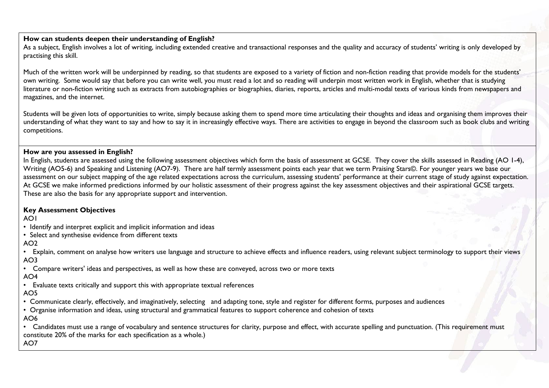# **How can students deepen their understanding of English?**

As a subject, English involves a lot of writing, including extended creative and transactional responses and the quality and accuracy of students' writing is only developed by practising this skill.

Much of the written work will be underpinned by reading, so that students are exposed to a variety of fiction and non-fiction reading that provide models for the students' own writing. Some would say that before you can write well, you must read a lot and so reading will underpin most written work in English, whether that is studying literature or non-fiction writing such as extracts from autobiographies or biographies, diaries, reports, articles and multi-modal texts of various kinds from newspapers and magazines, and the internet.

Students will be given lots of opportunities to write, simply because asking them to spend more time articulating their thoughts and ideas and organising them improves their understanding of what they want to say and how to say it in increasingly effective ways. There are activities to engage in beyond the classroom such as book clubs and writing competitions.

### **How are you assessed in English?**

In English, students are assessed using the following assessment objectives which form the basis of assessment at GCSE. They cover the skills assessed in Reading (AO 1-4), Writing (AO5-6) and Speaking and Listening (AO7-9). There are half termly assessment points each year that we term Praising Stars©. For younger years we base our assessment on our subject mapping of the age related expectations across the curriculum, assessing students' performance at their current stage of study against expectation. At GCSE we make informed predictions informed by our holistic assessment of their progress against the key assessment objectives and their aspirational GCSE targets. These are also the basis for any appropriate support and intervention.

# **Key Assessment Objectives**

AO1

• Identify and interpret explicit and implicit information and ideas

• Select and synthesise evidence from different texts

 $AO2$ 

• Explain, comment on analyse how writers use language and structure to achieve effects and influence readers, using relevant subject terminology to support their views AO3

• Compare writers' ideas and perspectives, as well as how these are conveyed, across two or more texts

# AO4

• Evaluate texts critically and support this with appropriate textual references

# AO5

• Communicate clearly, effectively, and imaginatively, selecting and adapting tone, style and register for different forms, purposes and audiences

• Organise information and ideas, using structural and grammatical features to support coherence and cohesion of texts

# AO6

• Candidates must use a range of vocabulary and sentence structures for clarity, purpose and effect, with accurate spelling and punctuation. (This requirement must constitute 20% of the marks for each specification as a whole.)

AO7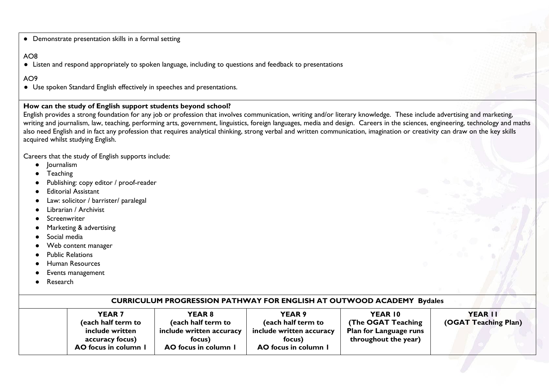● Demonstrate presentation skills in a formal setting

# AO8

● Listen and respond appropriately to spoken language, including to questions and feedback to presentations

# AO9

● Use spoken Standard English effectively in speeches and presentations.

#### **How can the study of English support students beyond school?**

English provides a strong foundation for any job or profession that involves communication, writing and/or literary knowledge. These include advertising and marketing, writing and journalism, law, teaching, performing arts, government, linguistics, foreign languages, media and design. Careers in the sciences, engineering, technology and maths also need English and in fact any profession that requires analytical thinking, strong verbal and written communication, imagination or creativity can draw on the key skills acquired whilst studying English.

Careers that the study of English supports include:

- Journalism
- **Teaching**
- Publishing: copy editor / proof-reader
- **Editorial Assistant**
- Law: solicitor / barrister/ paralegal
- Librarian / Archivist
- **Screenwriter**
- Marketing & advertising
- Social media
- Web content manager
- **Public Relations**
- **Human Resources**
- Events management
- Research

| <b>CURRICULUM PROGRESSION PATHWAY FOR ENGLISH AT OUTWOOD ACADEMY Bydales</b>                                                                                                                           |                                                                                                                                                                                                                                |  |  |  |  |  |
|--------------------------------------------------------------------------------------------------------------------------------------------------------------------------------------------------------|--------------------------------------------------------------------------------------------------------------------------------------------------------------------------------------------------------------------------------|--|--|--|--|--|
| <b>YEAR 8</b><br><b>YEAR 7</b><br>(each half term to<br>(each half term to<br>include written accuracy<br>include written<br>accuracy focus)<br>focus)<br>AO focus in column 1<br>AO focus in column 1 | YEAR 9<br>YEAR 10<br>YEAR II<br>(OGAT Teaching Plan)<br>(The OGAT Teaching<br>(each half term to<br>include written accuracy<br><b>Plan for Language runs</b><br>throughout the year)<br>focus)<br><b>AO</b> focus in column I |  |  |  |  |  |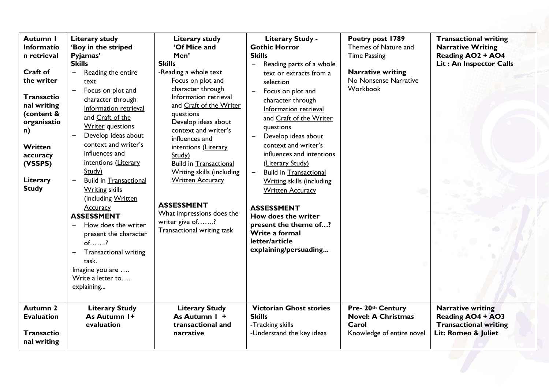| Autumn I<br>Informatio<br>n retrieval<br><b>Craft of</b><br>the writer<br>Transactio<br>nal writing<br>(content &<br>organisatio<br>n)<br>Written<br>accuracy<br>(VSSPS)<br>Literary<br><b>Study</b> | <b>Literary study</b><br>'Boy in the striped<br>Pyjamas'<br><b>Skills</b><br>Reading the entire<br>$\qquad \qquad -$<br>text<br>Focus on plot and<br>character through<br>Information retrieval<br>and Craft of the<br><b>Writer</b> questions<br>Develop ideas about<br>context and writer's<br>influences and<br>intentions (Literary<br>Study)<br><b>Build in Transactional</b><br><b>Writing skills</b><br>(including Written<br><b>Accuracy</b><br><b>ASSESSMENT</b><br>How does the writer<br>$\overline{\phantom{0}}$<br>present the character<br>$of$ ?<br><b>Transactional writing</b><br>$\qquad \qquad -$<br>task.<br>Imagine you are<br>Write a letter to<br>explaining | Literary study<br>'Of Mice and<br>Men'<br><b>Skills</b><br>-Reading a whole text<br>Focus on plot and<br>character through<br>Information retrieval<br>and Craft of the Writer<br>questions<br>Develop ideas about<br>context and writer's<br>influences and<br>intentions (Literary<br>Study)<br><b>Build in Transactional</b><br><b>Writing skills (including</b><br><b>Written Accuracy</b><br><b>ASSESSMENT</b><br>What impressions does the<br>writer give of?<br>Transactional writing task | <b>Literary Study -</b><br><b>Gothic Horror</b><br><b>Skills</b><br>Reading parts of a whole<br>$\qquad \qquad \longleftarrow$<br>text or extracts from a<br>selection<br>Focus on plot and<br>character through<br>Information retrieval<br>and Craft of the Writer<br>questions<br>Develop ideas about<br>context and writer's<br>influences and intentions<br>(Literary Study)<br><b>Build in Transactional</b><br><b>Writing skills (including</b><br><b>Written Accuracy</b><br><b>ASSESSMENT</b><br>How does the writer<br>present the theme of?<br>Write a formal<br>letter/article<br>explaining/persuading | Poetry post 1789<br>Themes of Nature and<br><b>Time Passing</b><br><b>Narrative writing</b><br>No Nonsense Narrative<br>Workbook | <b>Transactional writing</b><br><b>Narrative Writing</b><br>Reading AO2 + AO4<br>Lit: An Inspector Calls    |
|------------------------------------------------------------------------------------------------------------------------------------------------------------------------------------------------------|-------------------------------------------------------------------------------------------------------------------------------------------------------------------------------------------------------------------------------------------------------------------------------------------------------------------------------------------------------------------------------------------------------------------------------------------------------------------------------------------------------------------------------------------------------------------------------------------------------------------------------------------------------------------------------------|---------------------------------------------------------------------------------------------------------------------------------------------------------------------------------------------------------------------------------------------------------------------------------------------------------------------------------------------------------------------------------------------------------------------------------------------------------------------------------------------------|---------------------------------------------------------------------------------------------------------------------------------------------------------------------------------------------------------------------------------------------------------------------------------------------------------------------------------------------------------------------------------------------------------------------------------------------------------------------------------------------------------------------------------------------------------------------------------------------------------------------|----------------------------------------------------------------------------------------------------------------------------------|-------------------------------------------------------------------------------------------------------------|
| <b>Autumn 2</b><br><b>Evaluation</b><br><b>Transactio</b><br>nal writing                                                                                                                             | <b>Literary Study</b><br>As Autumn 1+<br>evaluation                                                                                                                                                                                                                                                                                                                                                                                                                                                                                                                                                                                                                                 | <b>Literary Study</b><br>As Autumn I +<br>transactional and<br>narrative                                                                                                                                                                                                                                                                                                                                                                                                                          | <b>Victorian Ghost stories</b><br><b>Skills</b><br>-Tracking skills<br>-Understand the key ideas                                                                                                                                                                                                                                                                                                                                                                                                                                                                                                                    | Pre- 20th Century<br><b>Novel: A Christmas</b><br>Carol<br>Knowledge of entire novel                                             | <b>Narrative writing</b><br><b>Reading AO4 + AO3</b><br><b>Transactional writing</b><br>Lit: Romeo & Juliet |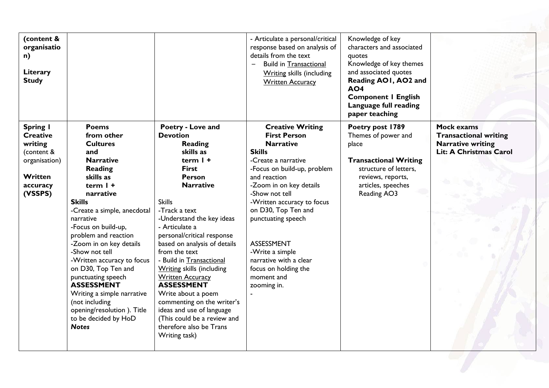| Poetry - Love and<br><b>Creative Writing</b><br><b>Mock exams</b><br>Spring I<br><b>Poems</b><br>Poetry post 1789<br>from other<br><b>First Person</b><br><b>Transactional writing</b><br><b>Devotion</b><br>Themes of power and<br><b>Creative</b><br><b>Narrative writing</b><br>writing<br><b>Narrative</b><br><b>Cultures</b><br>Reading<br>place<br><b>Skills</b><br>Lit: A Christmas Carol<br>skills as<br>(content &<br>and<br>term I +<br><b>Narrative</b><br><b>Transactional Writing</b><br>organisation)<br>-Create a narrative<br><b>Reading</b><br><b>First</b><br>structure of letters,<br>-Focus on build-up, problem<br>Written<br>skills as<br>and reaction<br><b>Person</b><br>reviews, reports,<br>term $l +$<br><b>Narrative</b><br>-Zoom in on key details<br>articles, speeches<br>accuracy<br>(VSSPS)<br>-Show not tell<br>Reading AO3<br>narrative<br><b>Skills</b><br>-Written accuracy to focus<br><b>Skills</b><br>-Create a simple, anecdotal<br>-Track a text<br>on D30, Top Ten and<br>-Understand the key ideas<br>punctuating speech<br>narrative<br>-Focus on build-up,<br>- Articulate a<br>problem and reaction<br>personal/critical response<br><b>ASSESSMENT</b><br>-Zoom in on key details<br>based on analysis of details<br>-Show not tell<br>from the text<br>-Write a simple<br>-Written accuracy to focus<br>- Build in Transactional<br>narrative with a clear<br>on D30, Top Ten and<br><b>Writing skills (including</b><br>focus on holding the<br><b>Written Accuracy</b><br>punctuating speech<br>moment and<br><b>ASSESSMENT</b><br><b>ASSESSMENT</b><br>zooming in.<br>Write about a poem<br>Writing a simple narrative<br>commenting on the writer's<br>(not including<br>ideas and use of language<br>opening/resolution). Title<br>(This could be a review and<br>to be decided by HoD<br><b>Notes</b><br>therefore also be Trans<br>Writing task) | (content &<br>organisatio<br>n)<br>Literary<br><b>Study</b> |  | - Articulate a personal/critical<br>response based on analysis of<br>details from the text<br><b>Build in Transactional</b><br><b>Writing skills (including</b><br><b>Written Accuracy</b> | Knowledge of key<br>characters and associated<br>quotes<br>Knowledge of key themes<br>and associated quotes<br>Reading AO1, AO2 and<br><b>AO4</b><br><b>Component I English</b><br>Language full reading<br>paper teaching |  |
|---------------------------------------------------------------------------------------------------------------------------------------------------------------------------------------------------------------------------------------------------------------------------------------------------------------------------------------------------------------------------------------------------------------------------------------------------------------------------------------------------------------------------------------------------------------------------------------------------------------------------------------------------------------------------------------------------------------------------------------------------------------------------------------------------------------------------------------------------------------------------------------------------------------------------------------------------------------------------------------------------------------------------------------------------------------------------------------------------------------------------------------------------------------------------------------------------------------------------------------------------------------------------------------------------------------------------------------------------------------------------------------------------------------------------------------------------------------------------------------------------------------------------------------------------------------------------------------------------------------------------------------------------------------------------------------------------------------------------------------------------------------------------------------------------------------------------------------------------------------------------------------------------------|-------------------------------------------------------------|--|--------------------------------------------------------------------------------------------------------------------------------------------------------------------------------------------|----------------------------------------------------------------------------------------------------------------------------------------------------------------------------------------------------------------------------|--|
|                                                                                                                                                                                                                                                                                                                                                                                                                                                                                                                                                                                                                                                                                                                                                                                                                                                                                                                                                                                                                                                                                                                                                                                                                                                                                                                                                                                                                                                                                                                                                                                                                                                                                                                                                                                                                                                                                                         |                                                             |  |                                                                                                                                                                                            |                                                                                                                                                                                                                            |  |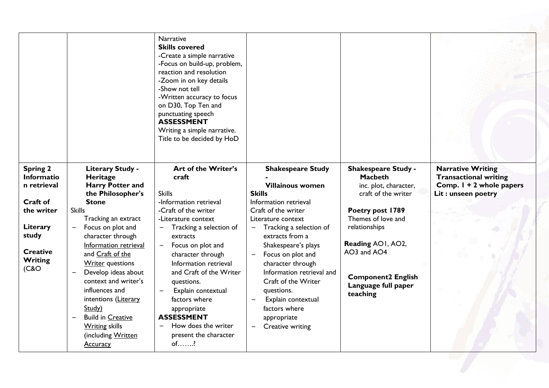|                                              |                                                                                                 | <b>Narrative</b><br><b>Skills covered</b><br>-Create a simple narrative<br>-Focus on build-up, problem,<br>reaction and resolution<br>-Zoom in on key details<br>-Show not tell<br>-Written accuracy to focus<br>on D30, Top Ten and<br>punctuating speech<br><b>ASSESSMENT</b><br>Writing a simple narrative.<br>Title to be decided by HoD |                                                                                                       |                                                                                              |                                                                                      |
|----------------------------------------------|-------------------------------------------------------------------------------------------------|----------------------------------------------------------------------------------------------------------------------------------------------------------------------------------------------------------------------------------------------------------------------------------------------------------------------------------------------|-------------------------------------------------------------------------------------------------------|----------------------------------------------------------------------------------------------|--------------------------------------------------------------------------------------|
| <b>Spring 2</b><br>Informatio<br>n retrieval | Literary Study -<br>Heritage<br><b>Harry Potter and</b>                                         | Art of the Writer's<br>craft<br><b>Skills</b>                                                                                                                                                                                                                                                                                                | <b>Shakespeare Study</b><br><b>Villainous women</b><br><b>Skills</b>                                  | <b>Shakespeare Study -</b><br><b>Macbeth</b><br>inc. plot, character,<br>craft of the writer | <b>Narrative Writing</b><br><b>Transactional writing</b><br>Comp. 1 + 2 whole papers |
| Craft of                                     | the Philosopher's<br><b>Stone</b>                                                               | -Information retrieval                                                                                                                                                                                                                                                                                                                       | Information retrieval                                                                                 |                                                                                              | Lit: unseen poetry                                                                   |
| the writer                                   | <b>Skills</b>                                                                                   | -Craft of the writer                                                                                                                                                                                                                                                                                                                         | Craft of the writer                                                                                   | Poetry post 1789                                                                             |                                                                                      |
|                                              | Tracking an extract                                                                             | -Literature context                                                                                                                                                                                                                                                                                                                          | Literature context                                                                                    | Themes of love and                                                                           |                                                                                      |
| Literary                                     | Focus on plot and                                                                               | Tracking a selection of                                                                                                                                                                                                                                                                                                                      | Tracking a selection of                                                                               | relationships                                                                                |                                                                                      |
| study                                        | character through                                                                               | extracts                                                                                                                                                                                                                                                                                                                                     | extracts from a                                                                                       |                                                                                              |                                                                                      |
| <b>Creative</b><br>Writing<br>(C & O         | Information retrieval<br>and Craft of the<br><b>Writer</b> questions                            | Focus on plot and<br>$\qquad \qquad \blacksquare$<br>character through<br>Information retrieval                                                                                                                                                                                                                                              | Shakespeare's plays<br>Focus on plot and<br>$\qquad \qquad -$<br>character through                    | Reading AOI, AO2,<br>AO3 and AO4                                                             |                                                                                      |
|                                              | Develop ideas about<br>context and writer's<br>influences and<br>intentions (Literary<br>Study) | and Craft of the Writer<br>questions.<br>Explain contextual<br>$\qquad \qquad -$<br>factors where                                                                                                                                                                                                                                            | Information retrieval and<br>Craft of the Writer<br>questions.<br>Explain contextual<br>factors where | <b>Component2 English</b><br>Language full paper<br>teaching                                 |                                                                                      |
|                                              | <b>Build in Creative</b>                                                                        | appropriate<br><b>ASSESSMENT</b>                                                                                                                                                                                                                                                                                                             | appropriate                                                                                           |                                                                                              |                                                                                      |
|                                              | <b>Writing skills</b><br>(including Written<br><b>Accuracy</b>                                  | How does the writer<br>present the character<br>$of.$ ?                                                                                                                                                                                                                                                                                      | Creative writing                                                                                      |                                                                                              |                                                                                      |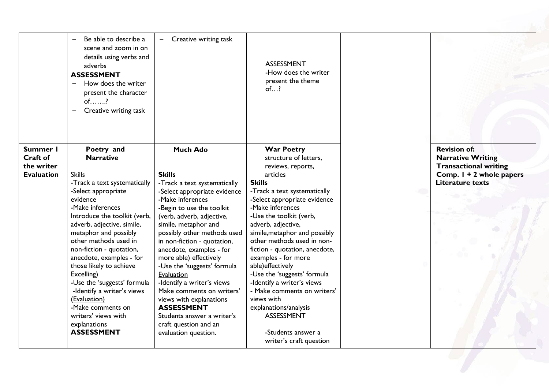|                   | Be able to describe a<br>scene and zoom in on<br>details using verbs and<br>adverbs<br><b>ASSESSMENT</b><br>How does the writer<br>$\overline{\phantom{m}}$<br>present the character<br>$of$ ?<br>Creative writing task | Creative writing task                                   | ASSESSMENT<br>-How does the writer<br>present the theme<br>of? |                              |
|-------------------|-------------------------------------------------------------------------------------------------------------------------------------------------------------------------------------------------------------------------|---------------------------------------------------------|----------------------------------------------------------------|------------------------------|
| Summer I          | Poetry and                                                                                                                                                                                                              | <b>Much Ado</b>                                         | <b>War Poetry</b>                                              | <b>Revision of:</b>          |
| Craft of          | <b>Narrative</b>                                                                                                                                                                                                        |                                                         | structure of letters,                                          | <b>Narrative Writing</b>     |
| the writer        |                                                                                                                                                                                                                         |                                                         | reviews, reports,                                              | <b>Transactional writing</b> |
| <b>Evaluation</b> | <b>Skills</b>                                                                                                                                                                                                           | <b>Skills</b>                                           | articles                                                       | Comp. 1 + 2 whole papers     |
|                   | -Track a text systematically                                                                                                                                                                                            | -Track a text systematically                            | <b>Skills</b>                                                  | <b>Literature texts</b>      |
|                   | -Select appropriate                                                                                                                                                                                                     | -Select appropriate evidence                            | -Track a text systematically                                   |                              |
|                   | evidence                                                                                                                                                                                                                | -Make inferences                                        | -Select appropriate evidence                                   |                              |
|                   | -Make inferences                                                                                                                                                                                                        | -Begin to use the toolkit                               | -Make inferences                                               |                              |
|                   | Introduce the toolkit (verb,                                                                                                                                                                                            | (verb, adverb, adjective,                               | -Use the toolkit (verb,                                        |                              |
|                   | adverb, adjective, simile,                                                                                                                                                                                              | simile, metaphor and                                    | adverb, adjective,                                             |                              |
|                   | metaphor and possibly                                                                                                                                                                                                   | possibly other methods used                             | simile, metaphor and possibly                                  |                              |
|                   | other methods used in                                                                                                                                                                                                   | in non-fiction - quotation,                             | other methods used in non-                                     |                              |
|                   | non-fiction - quotation,                                                                                                                                                                                                | anecdote, examples - for                                | fiction - quotation, anecdote,                                 |                              |
|                   | anecdote, examples - for                                                                                                                                                                                                | more able) effectively                                  | examples - for more                                            |                              |
|                   | those likely to achieve                                                                                                                                                                                                 | -Use the 'suggests' formula                             | able) effectively                                              |                              |
|                   | Excelling)                                                                                                                                                                                                              | Evaluation                                              | -Use the 'suggests' formula                                    |                              |
|                   | -Use the 'suggests' formula<br>-Identify a writer's views                                                                                                                                                               | -Identify a writer's views<br>Make comments on writers' | -Identify a writer's views<br>- Make comments on writers'      |                              |
|                   | (Evaluation)                                                                                                                                                                                                            | views with explanations                                 | views with                                                     |                              |
|                   | -Make comments on                                                                                                                                                                                                       | <b>ASSESSMENT</b>                                       | explanations/analysis                                          |                              |
|                   | writers' views with                                                                                                                                                                                                     | Students answer a writer's                              | <b>ASSESSMENT</b>                                              |                              |
|                   | explanations                                                                                                                                                                                                            | craft question and an                                   |                                                                |                              |
|                   | <b>ASSESSMENT</b>                                                                                                                                                                                                       | evaluation question.                                    | -Students answer a                                             |                              |
|                   |                                                                                                                                                                                                                         |                                                         | writer's craft question                                        |                              |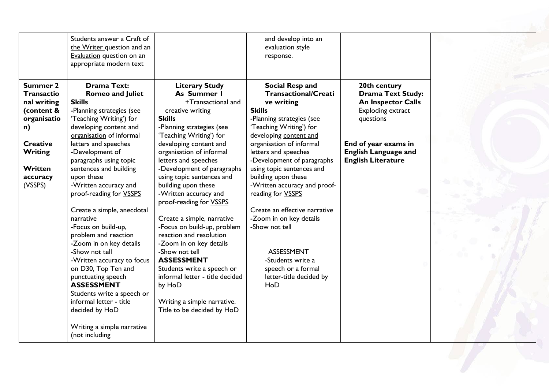| (VSSPS)<br>-Written accuracy and<br>building upon these<br>-Written accuracy and proof-<br>proof-reading for VSSPS<br>-Written accuracy and<br>reading for VSSPS<br>proof-reading for VSSPS<br>Create a simple, anecdotal<br>Create an effective narrative<br>Create a simple, narrative<br>-Zoom in on key details<br>narrative<br>-Focus on build-up, problem<br>-Focus on build-up,<br>-Show not tell<br>reaction and resolution<br>problem and reaction<br>-Zoom in on key details<br>-Zoom in on key details<br>-Show not tell<br>-Show not tell<br>ASSESSMENT<br><b>ASSESSMENT</b><br>-Written accuracy to focus<br>-Students write a<br>on D30, Top Ten and<br>Students write a speech or<br>speech or a formal<br>informal letter - title decided<br>letter-title decided by<br>punctuating speech<br><b>ASSESSMENT</b><br>by HoD<br>HoD<br>Students write a speech or<br>informal letter - title<br>Writing a simple narrative.<br>decided by HoD<br>Title to be decided by HoD<br>Writing a simple narrative<br>(not including | Summer 2<br><b>Transactio</b><br>nal writing<br>(content &<br>organisatio<br>n)<br><b>Creative</b><br><b>Writing</b><br>Written<br>accuracy | Students answer a Craft of<br>the Writer question and an<br>Evaluation question on an<br>appropriate modern text<br><b>Drama Text:</b><br><b>Romeo and Juliet</b><br><b>Skills</b><br>-Planning strategies (see<br>'Teaching Writing') for<br>developing content and<br>organisation of informal<br>letters and speeches<br>-Development of<br>paragraphs using topic<br>sentences and building<br>upon these | <b>Literary Study</b><br>As Summer I<br>+Transactional and<br>creative writing<br><b>Skills</b><br>-Planning strategies (see<br>'Teaching Writing') for<br>developing content and<br>organisation of informal<br>letters and speeches<br>-Development of paragraphs<br>using topic sentences and | and develop into an<br>evaluation style<br>response.<br>Social Resp and<br><b>Transactional/Creati</b><br>ve writing<br><b>Skills</b><br>-Planning strategies (see<br>'Teaching Writing') for<br>developing content and<br>organisation of informal<br>letters and speeches<br>-Development of paragraphs<br>using topic sentences and<br>building upon these | 20th century<br><b>Drama Text Study:</b><br><b>An Inspector Calls</b><br><b>Exploding extract</b><br>questions<br>End of year exams in<br><b>English Language and</b><br><b>English Literature</b> |
|------------------------------------------------------------------------------------------------------------------------------------------------------------------------------------------------------------------------------------------------------------------------------------------------------------------------------------------------------------------------------------------------------------------------------------------------------------------------------------------------------------------------------------------------------------------------------------------------------------------------------------------------------------------------------------------------------------------------------------------------------------------------------------------------------------------------------------------------------------------------------------------------------------------------------------------------------------------------------------------------------------------------------------------|---------------------------------------------------------------------------------------------------------------------------------------------|---------------------------------------------------------------------------------------------------------------------------------------------------------------------------------------------------------------------------------------------------------------------------------------------------------------------------------------------------------------------------------------------------------------|--------------------------------------------------------------------------------------------------------------------------------------------------------------------------------------------------------------------------------------------------------------------------------------------------|---------------------------------------------------------------------------------------------------------------------------------------------------------------------------------------------------------------------------------------------------------------------------------------------------------------------------------------------------------------|----------------------------------------------------------------------------------------------------------------------------------------------------------------------------------------------------|
|                                                                                                                                                                                                                                                                                                                                                                                                                                                                                                                                                                                                                                                                                                                                                                                                                                                                                                                                                                                                                                          |                                                                                                                                             |                                                                                                                                                                                                                                                                                                                                                                                                               |                                                                                                                                                                                                                                                                                                  |                                                                                                                                                                                                                                                                                                                                                               |                                                                                                                                                                                                    |